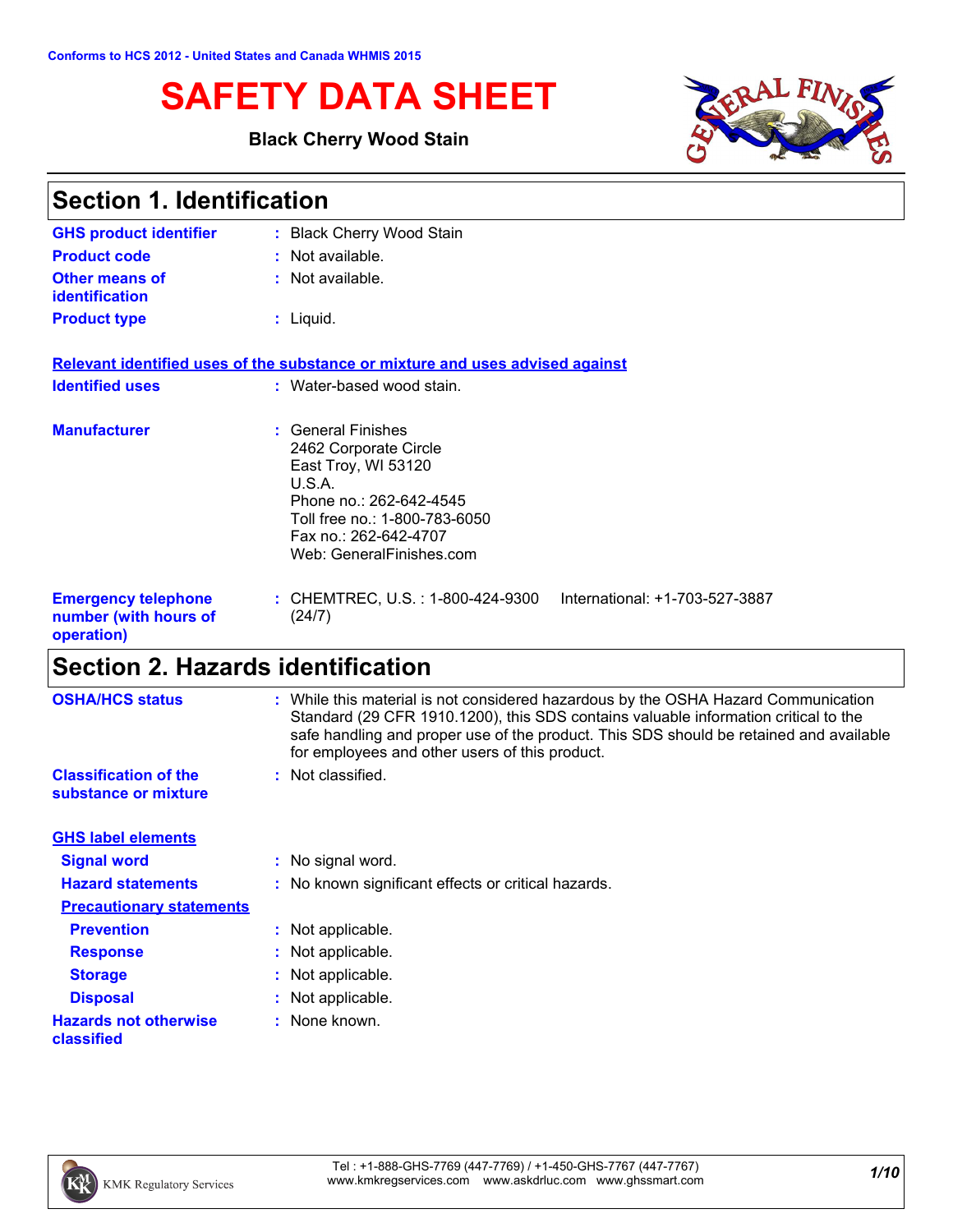# **SAFETY DATA SHEET**

### **Black Cherry Wood Stain**



| <b>Section 1. Identification</b>                                  |                                                                                                                                                                                               |  |
|-------------------------------------------------------------------|-----------------------------------------------------------------------------------------------------------------------------------------------------------------------------------------------|--|
| <b>GHS product identifier</b>                                     | : Black Cherry Wood Stain                                                                                                                                                                     |  |
| <b>Product code</b>                                               | : Not available.                                                                                                                                                                              |  |
| <b>Other means of</b><br>identification                           | : Not available.                                                                                                                                                                              |  |
| <b>Product type</b>                                               | $:$ Liquid.                                                                                                                                                                                   |  |
|                                                                   | Relevant identified uses of the substance or mixture and uses advised against                                                                                                                 |  |
| <b>Identified uses</b>                                            | : Water-based wood stain.                                                                                                                                                                     |  |
| <b>Manufacturer</b>                                               | : General Finishes<br>2462 Corporate Circle<br>East Troy, WI 53120<br>U.S.A.<br>Phone no.: 262-642-4545<br>Toll free no.: 1-800-783-6050<br>Fax no.: 262-642-4707<br>Web: GeneralFinishes.com |  |
| <b>Emergency telephone</b><br>number (with hours of<br>operation) | : CHEMTREC, U.S. : 1-800-424-9300<br>International: +1-703-527-3887<br>(24/7)                                                                                                                 |  |

# **Section 2. Hazards identification**

| <b>OSHA/HCS status</b>                               | : While this material is not considered hazardous by the OSHA Hazard Communication<br>Standard (29 CFR 1910.1200), this SDS contains valuable information critical to the<br>safe handling and proper use of the product. This SDS should be retained and available<br>for employees and other users of this product. |
|------------------------------------------------------|-----------------------------------------------------------------------------------------------------------------------------------------------------------------------------------------------------------------------------------------------------------------------------------------------------------------------|
| <b>Classification of the</b><br>substance or mixture | : Not classified.                                                                                                                                                                                                                                                                                                     |
| <b>GHS label elements</b>                            |                                                                                                                                                                                                                                                                                                                       |
| <b>Signal word</b>                                   | : No signal word.                                                                                                                                                                                                                                                                                                     |
| <b>Hazard statements</b>                             | : No known significant effects or critical hazards.                                                                                                                                                                                                                                                                   |
| <b>Precautionary statements</b>                      |                                                                                                                                                                                                                                                                                                                       |
| <b>Prevention</b>                                    | : Not applicable.                                                                                                                                                                                                                                                                                                     |
| <b>Response</b>                                      | : Not applicable.                                                                                                                                                                                                                                                                                                     |
| <b>Storage</b>                                       | : Not applicable.                                                                                                                                                                                                                                                                                                     |
| <b>Disposal</b>                                      | : Not applicable.                                                                                                                                                                                                                                                                                                     |
| <b>Hazards not otherwise</b><br>classified           | : None known.                                                                                                                                                                                                                                                                                                         |
|                                                      |                                                                                                                                                                                                                                                                                                                       |

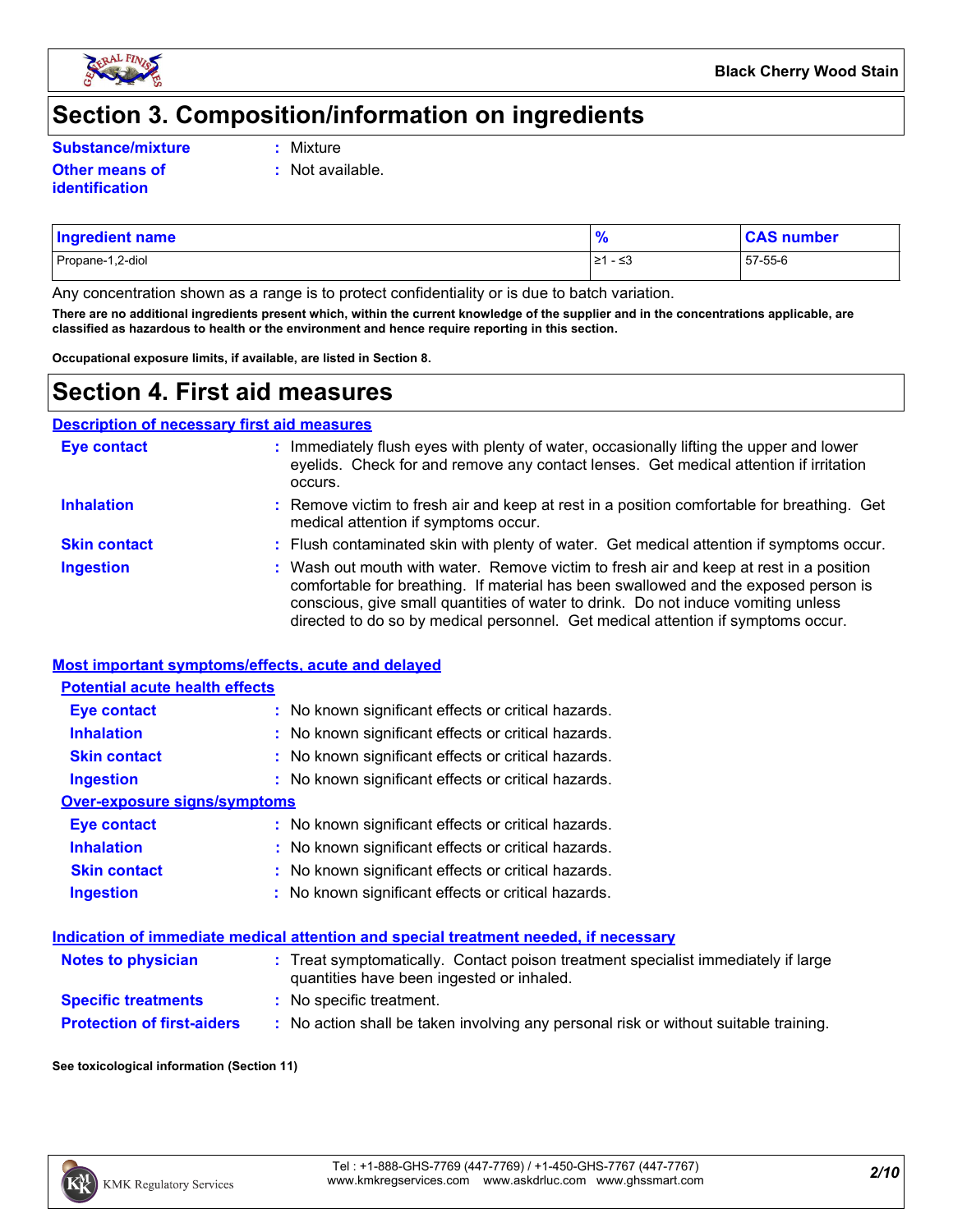

### **Section 3. Composition/information on ingredients**

**Substance/mixture :**

**identification**

- Mixture
- **Other means of :** Not available.

| <b>Ingredient name</b> | $\mathbf{0}_L$       | , number |
|------------------------|----------------------|----------|
| Propane-1,2-diol       | ، ر<br>∣ ≥1<br>ن ∠ - | 57-55-6  |

Any concentration shown as a range is to protect confidentiality or is due to batch variation.

**There are no additional ingredients present which, within the current knowledge of the supplier and in the concentrations applicable, are classified as hazardous to health or the environment and hence require reporting in this section.**

**Occupational exposure limits, if available, are listed in Section 8.**

### **Section 4. First aid measures**

**Description of necessary first aid measures**

| <b>Eye contact</b>  | : Immediately flush eyes with plenty of water, occasionally lifting the upper and lower<br>eyelids. Check for and remove any contact lenses. Get medical attention if irritation<br>occurs.                                                                                                                                                            |
|---------------------|--------------------------------------------------------------------------------------------------------------------------------------------------------------------------------------------------------------------------------------------------------------------------------------------------------------------------------------------------------|
| <b>Inhalation</b>   | : Remove victim to fresh air and keep at rest in a position comfortable for breathing. Get<br>medical attention if symptoms occur.                                                                                                                                                                                                                     |
| <b>Skin contact</b> | : Flush contaminated skin with plenty of water. Get medical attention if symptoms occur.                                                                                                                                                                                                                                                               |
| <b>Ingestion</b>    | : Wash out mouth with water. Remove victim to fresh air and keep at rest in a position<br>comfortable for breathing. If material has been swallowed and the exposed person is<br>conscious, give small quantities of water to drink. Do not induce vomiting unless<br>directed to do so by medical personnel. Get medical attention if symptoms occur. |

#### **Most important symptoms/effects, acute and delayed**

| <b>Potential acute health effects</b> |                                                     |
|---------------------------------------|-----------------------------------------------------|
| <b>Eye contact</b>                    | : No known significant effects or critical hazards. |
| <b>Inhalation</b>                     | : No known significant effects or critical hazards. |
| <b>Skin contact</b>                   | : No known significant effects or critical hazards. |
| <b>Ingestion</b>                      | : No known significant effects or critical hazards. |
| Over-exposure signs/symptoms          |                                                     |
| <b>Eye contact</b>                    | : No known significant effects or critical hazards. |
| <b>Inhalation</b>                     | : No known significant effects or critical hazards. |
| <b>Skin contact</b>                   | : No known significant effects or critical hazards. |
| <b>Ingestion</b>                      | : No known significant effects or critical hazards. |

#### **Indication of immediate medical attention and special treatment needed, if necessary**

| <b>Notes to physician</b>         | : Treat symptomatically. Contact poison treatment specialist immediately if large<br>quantities have been ingested or inhaled. |
|-----------------------------------|--------------------------------------------------------------------------------------------------------------------------------|
| <b>Specific treatments</b>        | : No specific treatment.                                                                                                       |
| <b>Protection of first-aiders</b> | No action shall be taken involving any personal risk or without suitable training.                                             |

#### **See toxicological information (Section 11)**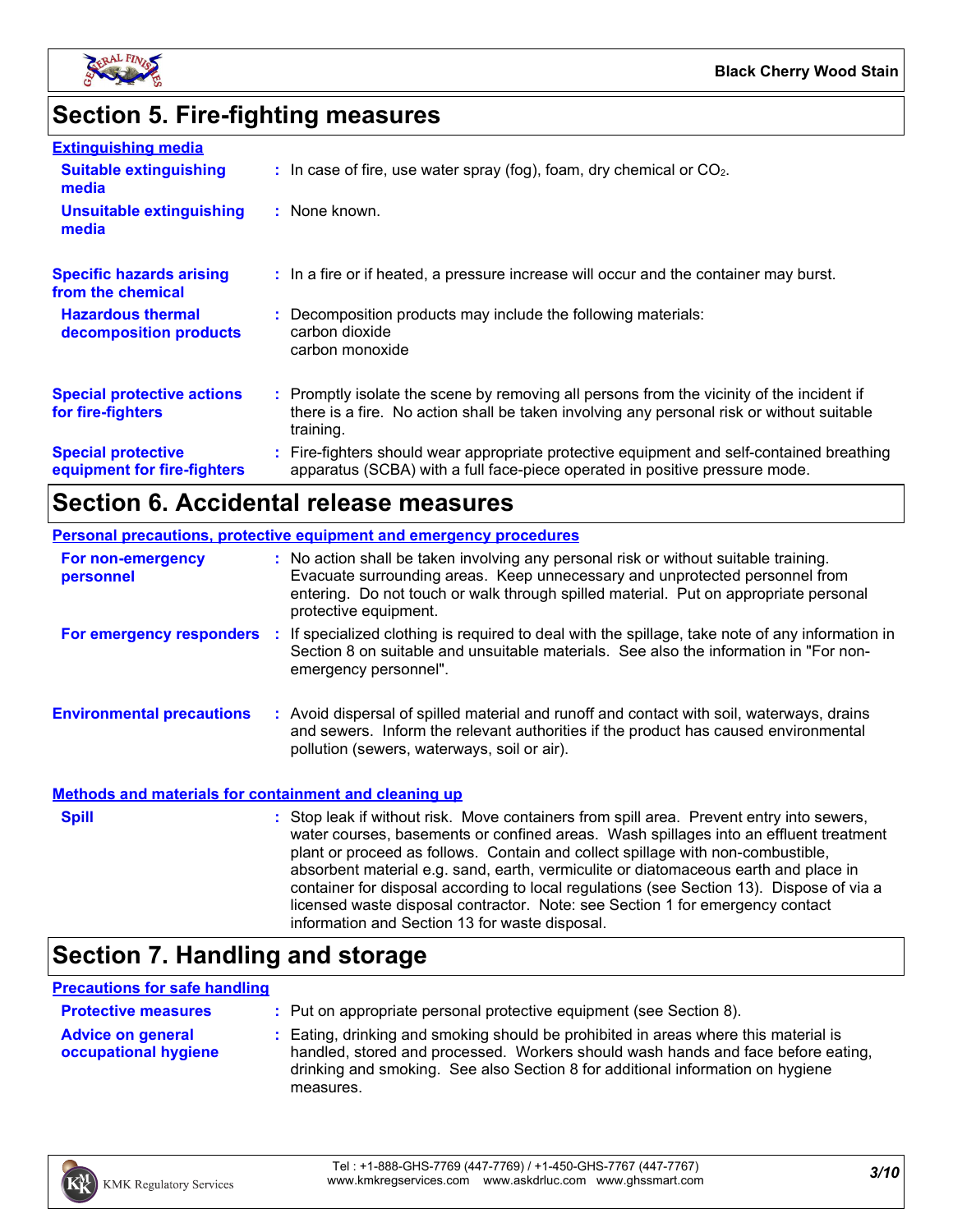

## **Section 5. Fire-fighting measures**

| <b>Extinguishing media</b>                               |                                                                                                                                                                                                     |
|----------------------------------------------------------|-----------------------------------------------------------------------------------------------------------------------------------------------------------------------------------------------------|
| <b>Suitable extinguishing</b><br>media                   | $\therefore$ In case of fire, use water spray (fog), foam, dry chemical or CO <sub>2</sub> .                                                                                                        |
| <b>Unsuitable extinguishing</b><br>media                 | : None known.                                                                                                                                                                                       |
| <b>Specific hazards arising</b><br>from the chemical     | : In a fire or if heated, a pressure increase will occur and the container may burst.                                                                                                               |
| <b>Hazardous thermal</b><br>decomposition products       | : Decomposition products may include the following materials:<br>carbon dioxide<br>carbon monoxide                                                                                                  |
| <b>Special protective actions</b><br>for fire-fighters   | : Promptly isolate the scene by removing all persons from the vicinity of the incident if<br>there is a fire. No action shall be taken involving any personal risk or without suitable<br>training. |
| <b>Special protective</b><br>equipment for fire-fighters | : Fire-fighters should wear appropriate protective equipment and self-contained breathing<br>apparatus (SCBA) with a full face-piece operated in positive pressure mode.                            |

### **Section 6. Accidental release measures**

| <b>Personal precautions, protective equipment and emergency procedures</b> |  |                                                                                                                                                                                                                                                                                                                                                                                                                                                                                                                                                                                            |  |
|----------------------------------------------------------------------------|--|--------------------------------------------------------------------------------------------------------------------------------------------------------------------------------------------------------------------------------------------------------------------------------------------------------------------------------------------------------------------------------------------------------------------------------------------------------------------------------------------------------------------------------------------------------------------------------------------|--|
| For non-emergency<br>personnel                                             |  | : No action shall be taken involving any personal risk or without suitable training.<br>Evacuate surrounding areas. Keep unnecessary and unprotected personnel from<br>entering. Do not touch or walk through spilled material. Put on appropriate personal<br>protective equipment.                                                                                                                                                                                                                                                                                                       |  |
| For emergency responders :                                                 |  | If specialized clothing is required to deal with the spillage, take note of any information in<br>Section 8 on suitable and unsuitable materials. See also the information in "For non-<br>emergency personnel".                                                                                                                                                                                                                                                                                                                                                                           |  |
| <b>Environmental precautions</b>                                           |  | : Avoid dispersal of spilled material and runoff and contact with soil, waterways, drains<br>and sewers. Inform the relevant authorities if the product has caused environmental<br>pollution (sewers, waterways, soil or air).                                                                                                                                                                                                                                                                                                                                                            |  |
| <b>Methods and materials for containment and cleaning up</b>               |  |                                                                                                                                                                                                                                                                                                                                                                                                                                                                                                                                                                                            |  |
| <b>Spill</b>                                                               |  | : Stop leak if without risk. Move containers from spill area. Prevent entry into sewers,<br>water courses, basements or confined areas. Wash spillages into an effluent treatment<br>plant or proceed as follows. Contain and collect spillage with non-combustible,<br>absorbent material e.g. sand, earth, vermiculite or diatomaceous earth and place in<br>container for disposal according to local regulations (see Section 13). Dispose of via a<br>licensed waste disposal contractor. Note: see Section 1 for emergency contact<br>information and Section 13 for waste disposal. |  |

## **Section 7. Handling and storage**

#### **Precautions for safe handling**

| <b>Protective measures</b>                       | : Put on appropriate personal protective equipment (see Section 8).                                                                                                                                                                                                    |
|--------------------------------------------------|------------------------------------------------------------------------------------------------------------------------------------------------------------------------------------------------------------------------------------------------------------------------|
| <b>Advice on general</b><br>occupational hygiene | : Eating, drinking and smoking should be prohibited in areas where this material is<br>handled, stored and processed. Workers should wash hands and face before eating,<br>drinking and smoking. See also Section 8 for additional information on hygiene<br>measures. |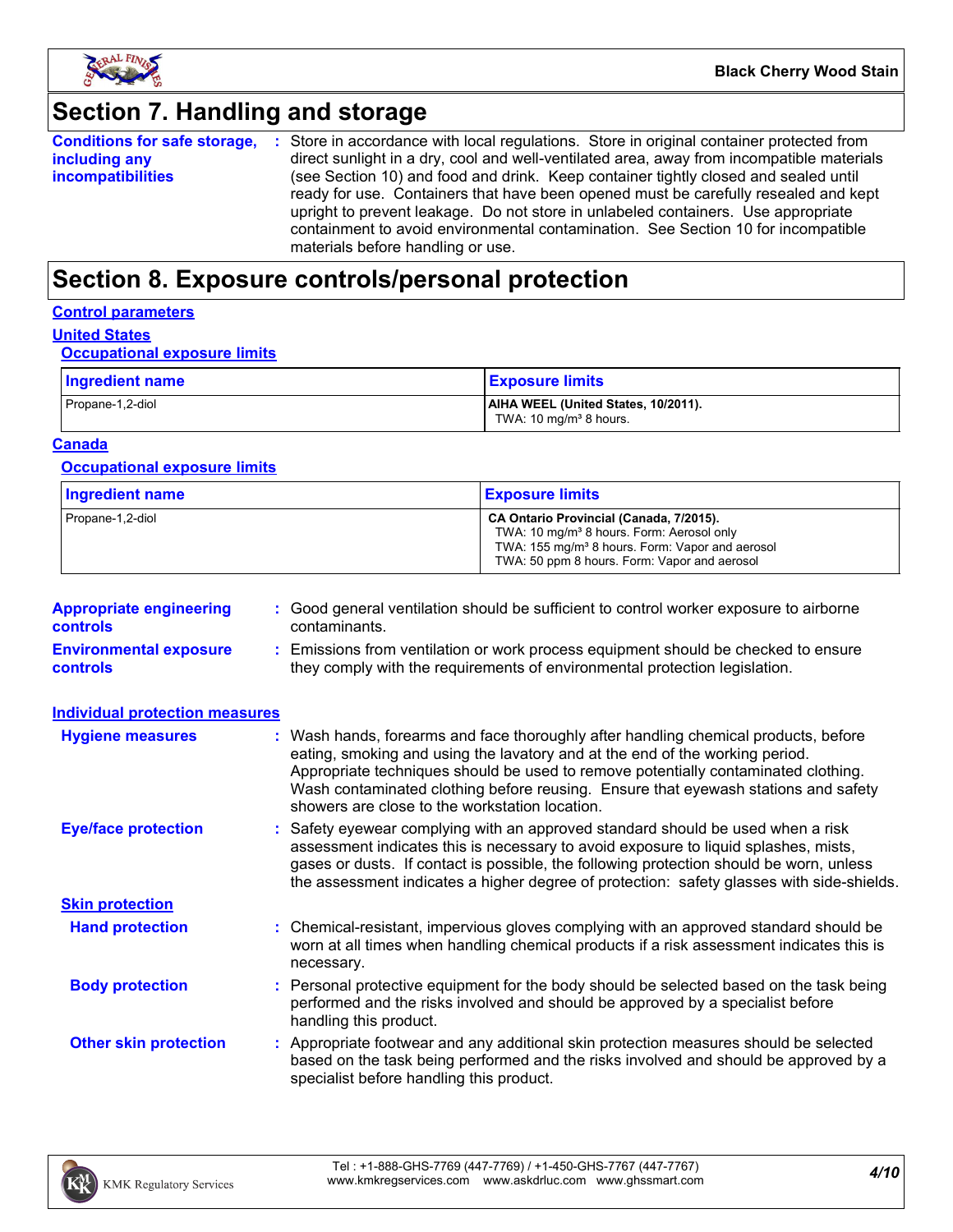

### **Section 7. Handling and storage**

|                          | <b>Conditions for safe storage, :</b> Store in accordance with local regulations. Store in original container protected from |
|--------------------------|------------------------------------------------------------------------------------------------------------------------------|
| including any            | direct sunlight in a dry, cool and well-ventilated area, away from incompatible materials                                    |
| <i>incompatibilities</i> | (see Section 10) and food and drink. Keep container tightly closed and sealed until                                          |
|                          | ready for use. Containers that have been opened must be carefully resealed and kept                                          |
|                          | upright to prevent leakage. Do not store in unlabeled containers. Use appropriate                                            |
|                          | containment to avoid environmental contamination. See Section 10 for incompatible                                            |
|                          | materials before handling or use.                                                                                            |

### **Section 8. Exposure controls/personal protection**

#### **Control parameters**

### **United States**

#### **Occupational exposure limits**

| Ingredient name  | <b>Exposure limits</b>                                                    |
|------------------|---------------------------------------------------------------------------|
| Propane-1,2-diol | AIHA WEEL (United States, 10/2011).<br>TWA: 10 mg/m <sup>3</sup> 8 hours. |

#### **Canada**

#### **Occupational exposure limits**

| <b>Ingredient name</b> | <b>Exposure limits</b>                                                                                                                                                                                          |
|------------------------|-----------------------------------------------------------------------------------------------------------------------------------------------------------------------------------------------------------------|
| Propane-1,2-diol       | CA Ontario Provincial (Canada, 7/2015).<br>TWA: 10 mg/m <sup>3</sup> 8 hours. Form: Aerosol only<br>TWA: 155 mg/m <sup>3</sup> 8 hours. Form: Vapor and aerosol<br>TWA: 50 ppm 8 hours. Form: Vapor and aerosol |

| <b>Appropriate engineering</b><br><b>controls</b> | : Good general ventilation should be sufficient to control worker exposure to airborne<br>contaminants.                                                          |
|---------------------------------------------------|------------------------------------------------------------------------------------------------------------------------------------------------------------------|
| <b>Environmental exposure</b><br><b>controls</b>  | : Emissions from ventilation or work process equipment should be checked to ensure<br>they comply with the requirements of environmental protection legislation. |

| <b>Individual protection measures</b> |                                                                                                                                                                                                                                                                                                                                                                                                   |
|---------------------------------------|---------------------------------------------------------------------------------------------------------------------------------------------------------------------------------------------------------------------------------------------------------------------------------------------------------------------------------------------------------------------------------------------------|
| <b>Hygiene measures</b>               | : Wash hands, forearms and face thoroughly after handling chemical products, before<br>eating, smoking and using the lavatory and at the end of the working period.<br>Appropriate techniques should be used to remove potentially contaminated clothing.<br>Wash contaminated clothing before reusing. Ensure that eyewash stations and safety<br>showers are close to the workstation location. |
| <b>Eye/face protection</b>            | : Safety eyewear complying with an approved standard should be used when a risk<br>assessment indicates this is necessary to avoid exposure to liquid splashes, mists,<br>gases or dusts. If contact is possible, the following protection should be worn, unless<br>the assessment indicates a higher degree of protection: safety glasses with side-shields.                                    |
| <b>Skin protection</b>                |                                                                                                                                                                                                                                                                                                                                                                                                   |
| <b>Hand protection</b>                | : Chemical-resistant, impervious gloves complying with an approved standard should be<br>worn at all times when handling chemical products if a risk assessment indicates this is<br>necessary.                                                                                                                                                                                                   |
| <b>Body protection</b>                | : Personal protective equipment for the body should be selected based on the task being<br>performed and the risks involved and should be approved by a specialist before<br>handling this product.                                                                                                                                                                                               |
| <b>Other skin protection</b>          | : Appropriate footwear and any additional skin protection measures should be selected<br>based on the task being performed and the risks involved and should be approved by a<br>specialist before handling this product.                                                                                                                                                                         |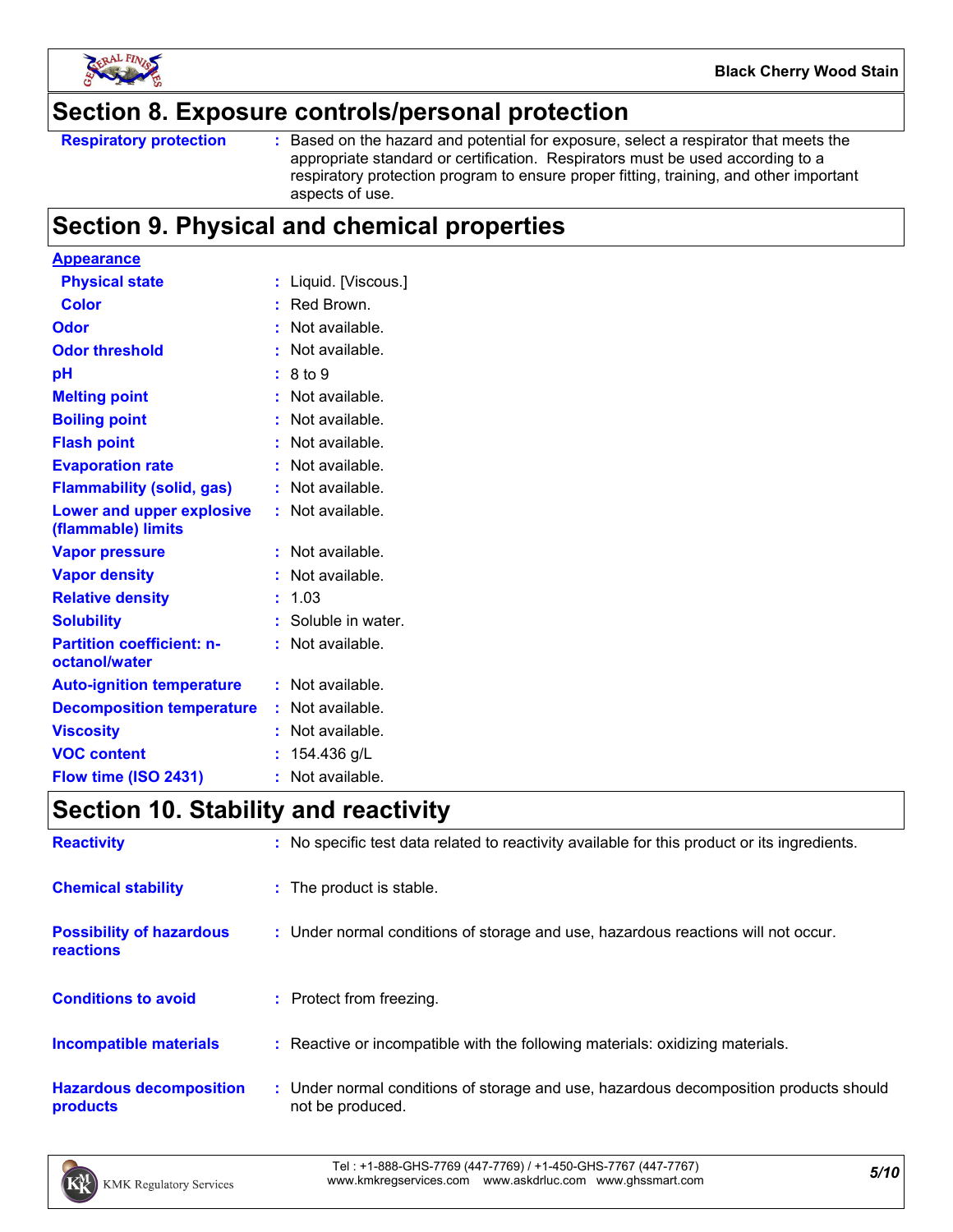

### **Section 8. Exposure controls/personal protection**

Based on the hazard and potential for exposure, select a respirator that meets the appropriate standard or certification. Respirators must be used according to a respiratory protection program to ensure proper fitting, training, and other important aspects of use.

### **Section 9. Physical and chemical properties**

| <b>Appearance</b>                                 |    |                     |
|---------------------------------------------------|----|---------------------|
| <b>Physical state</b>                             |    | Liquid. [Viscous.]  |
| <b>Color</b>                                      |    | Red Brown.          |
| Odor                                              |    | Not available.      |
| <b>Odor threshold</b>                             |    | Not available.      |
| рH                                                |    | 8 to 9              |
| <b>Melting point</b>                              |    | Not available.      |
| <b>Boiling point</b>                              |    | Not available.      |
| <b>Flash point</b>                                |    | Not available.      |
| <b>Evaporation rate</b>                           |    | Not available.      |
| <b>Flammability (solid, gas)</b>                  |    | Not available.      |
| Lower and upper explosive<br>(flammable) limits   |    | Not available.      |
| <b>Vapor pressure</b>                             |    | Not available.      |
| <b>Vapor density</b>                              |    | Not available.      |
| <b>Relative density</b>                           |    | 1.03                |
| <b>Solubility</b>                                 |    | : Soluble in water. |
| <b>Partition coefficient: n-</b><br>octanol/water |    | Not available.      |
| <b>Auto-ignition temperature</b>                  |    | Not available.      |
| <b>Decomposition temperature</b>                  |    | Not available.      |
| <b>Viscosity</b>                                  |    | Not available.      |
| <b>VOC content</b>                                |    | 154.436 g/L         |
| Flow time (ISO 2431)                              | ř. | Not available.      |

### **Section 10. Stability and reactivity**

| <b>Reactivity</b>                            | : No specific test data related to reactivity available for this product or its ingredients.              |
|----------------------------------------------|-----------------------------------------------------------------------------------------------------------|
| <b>Chemical stability</b>                    | : The product is stable.                                                                                  |
| <b>Possibility of hazardous</b><br>reactions | : Under normal conditions of storage and use, hazardous reactions will not occur.                         |
| <b>Conditions to avoid</b>                   | : Protect from freezing.                                                                                  |
| <b>Incompatible materials</b>                | : Reactive or incompatible with the following materials: oxidizing materials.                             |
| <b>Hazardous decomposition</b><br>products   | : Under normal conditions of storage and use, hazardous decomposition products should<br>not be produced. |

*5/10* Tel : +1-888-GHS-7769 (447-7769) / +1-450-GHS-7767 (447-7767) www.kmkregservices.com www.askdrluc.com www.ghssmart.com

**Respiratory protection :**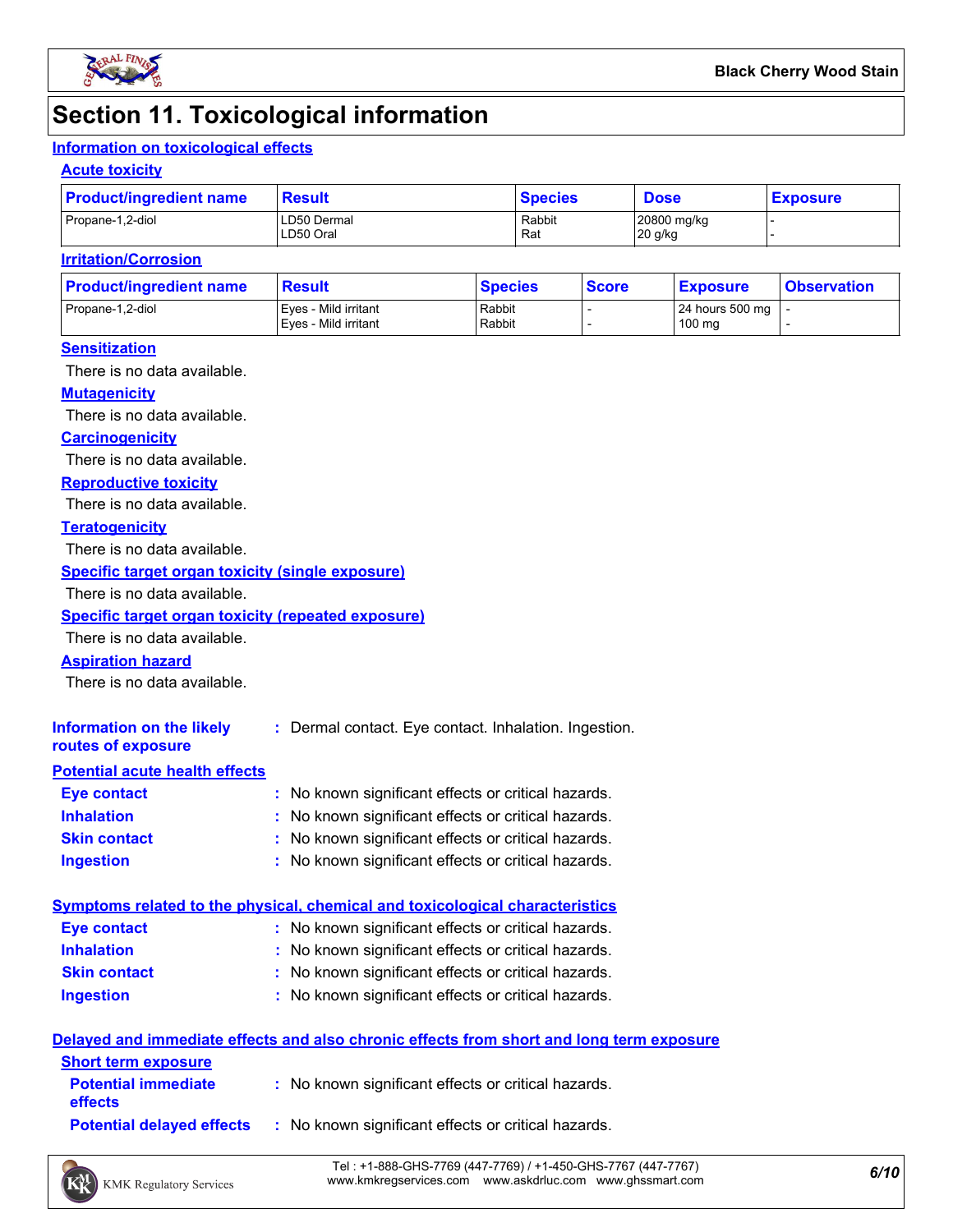

### **Section 11. Toxicological information**

#### **Information on toxicological effects**

#### **Acute toxicity**

| <b>Product/ingredient name</b> | Result                   | <b>Species</b> | <b>Dose</b>            | <b>Exposure</b> |  |
|--------------------------------|--------------------------|----------------|------------------------|-----------------|--|
| Propane-1,2-diol               | LD50 Dermal<br>LD50 Oral | Rabbit<br>Rat  | 20800 mg/kg<br>20 g/kg |                 |  |

#### **Irritation/Corrosion**

| <b>Product/ingredient name</b> | <b>Result</b>                                | <b>Species</b>   | <b>Score</b> | <u>  Exposure</u>         | <b>Observation</b> |
|--------------------------------|----------------------------------------------|------------------|--------------|---------------------------|--------------------|
| Propane-1,2-diol               | Eves - Mild irritant<br>Eves - Mild irritant | Rabbit<br>Rabbit |              | 24 hours 500 mg<br>100 mg |                    |
|                                |                                              |                  |              |                           |                    |

#### **Sensitization**

There is no data available.

#### **Mutagenicity**

There is no data available.

#### **Carcinogenicity**

There is no data available.

#### **Reproductive toxicity**

There is no data available.

#### **Teratogenicity**

There is no data available.

#### **Specific target organ toxicity (single exposure)**

There is no data available.

#### **Specific target organ toxicity (repeated exposure)**

There is no data available.

#### **Aspiration hazard**

There is no data available.

| Information on the likely<br>routes of exposure | : Dermal contact. Eye contact. Inhalation. Ingestion. |
|-------------------------------------------------|-------------------------------------------------------|
| <b>Potential acute health effects</b>           |                                                       |
| <b>Eye contact</b>                              | : No known significant effects or critical hazards.   |
| <b>Inhalation</b>                               | : No known significant effects or critical hazards.   |
| <b>Skin contact</b>                             | : No known significant effects or critical hazards.   |

#### **Ingestion :** No known significant effects or critical hazards.

| Symptoms related to the physical, chemical and toxicological characteristics |                                                     |  |  |  |  |
|------------------------------------------------------------------------------|-----------------------------------------------------|--|--|--|--|
| Eye contact                                                                  | : No known significant effects or critical hazards. |  |  |  |  |
| <b>Inhalation</b>                                                            | : No known significant effects or critical hazards. |  |  |  |  |
| <b>Skin contact</b>                                                          | : No known significant effects or critical hazards. |  |  |  |  |
| <b>Ingestion</b>                                                             | : No known significant effects or critical hazards. |  |  |  |  |

#### **Delayed and immediate effects and also chronic effects from short and long term exposure**

| <b>Short term exposure</b>                   |                                                     |
|----------------------------------------------|-----------------------------------------------------|
| <b>Potential immediate</b><br><b>effects</b> | : No known significant effects or critical hazards. |
| <b>Potential delaved effects</b>             | : No known significant effects or critical hazards. |

*6/10* Tel : +1-888-GHS-7769 (447-7769) / +1-450-GHS-7767 (447-7767) www.kmkregservices.com www.askdrluc.com www.ghssmart.com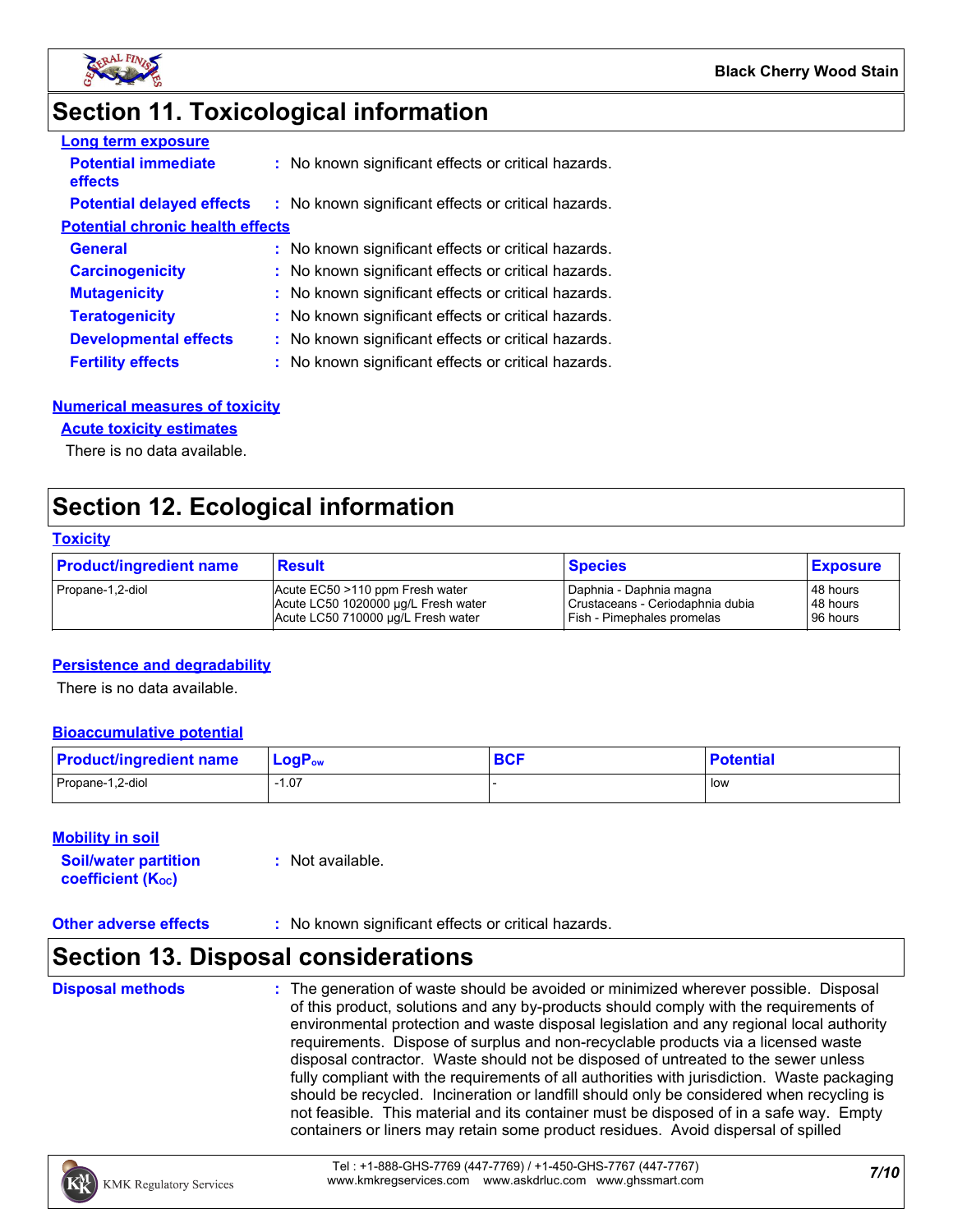

### **Section 11. Toxicological information**

| <b>Long term exposure</b>               |                                                     |
|-----------------------------------------|-----------------------------------------------------|
| <b>Potential immediate</b><br>effects   | : No known significant effects or critical hazards. |
| <b>Potential delayed effects</b>        | : No known significant effects or critical hazards. |
| <b>Potential chronic health effects</b> |                                                     |
| <b>General</b>                          | : No known significant effects or critical hazards. |
| <b>Carcinogenicity</b>                  | : No known significant effects or critical hazards. |
| <b>Mutagenicity</b>                     | : No known significant effects or critical hazards. |
| <b>Teratogenicity</b>                   | : No known significant effects or critical hazards. |
| <b>Developmental effects</b>            | : No known significant effects or critical hazards. |
| <b>Fertility effects</b>                | : No known significant effects or critical hazards. |

#### **Numerical measures of toxicity**

#### **Acute toxicity estimates**

There is no data available.

### **Section 12. Ecological information**

#### **Toxicity**

| <b>Product/ingredient name</b> | <b>Result</b>                       | <b>Species</b>                   | <b>Exposure</b> |
|--------------------------------|-------------------------------------|----------------------------------|-----------------|
| Propane-1,2-diol               | Acute EC50 >110 ppm Fresh water     | Daphnia - Daphnia magna          | 48 hours        |
|                                | Acute LC50 1020000 µg/L Fresh water | Crustaceans - Ceriodaphnia dubia | 48 hours        |
|                                | Acute LC50 710000 ug/L Fresh water  | Fish - Pimephales promelas       | 96 hours        |

#### **Persistence and degradability**

There is no data available.

#### **Bioaccumulative potential**

| <b>Product/ingredient name</b> | $\mathsf{LogP}_\mathsf{ow}$ | <b>DAC</b><br><b>DUI</b> | <b>Potential</b> |
|--------------------------------|-----------------------------|--------------------------|------------------|
| Propane-1,2-diol               | 07، ا                       |                          | l low            |

#### **Mobility in soil**

| <b>Soil/water partition</b>    | $:$ Not available. |
|--------------------------------|--------------------|
| coefficient (K <sub>oc</sub> ) |                    |

#### **Other adverse effects** : No known significant effects or critical hazards.

### **Section 13. Disposal considerations**

**Disposal methods :**

The generation of waste should be avoided or minimized wherever possible. Disposal of this product, solutions and any by-products should comply with the requirements of environmental protection and waste disposal legislation and any regional local authority requirements. Dispose of surplus and non-recyclable products via a licensed waste disposal contractor. Waste should not be disposed of untreated to the sewer unless fully compliant with the requirements of all authorities with jurisdiction. Waste packaging should be recycled. Incineration or landfill should only be considered when recycling is not feasible. This material and its container must be disposed of in a safe way. Empty containers or liners may retain some product residues. Avoid dispersal of spilled

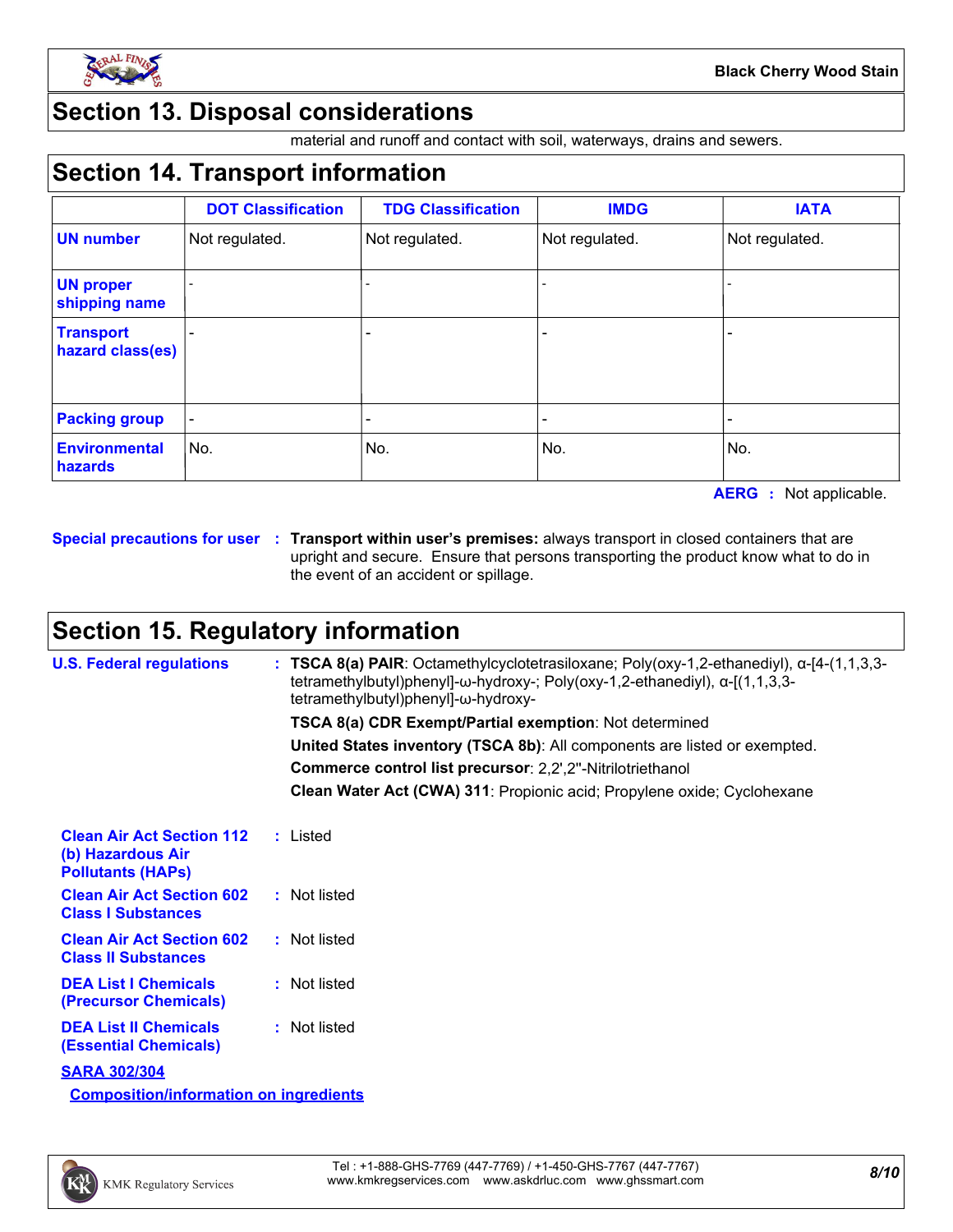

### **Section 13. Disposal considerations**

material and runoff and contact with soil, waterways, drains and sewers.

### **Section 14. Transport information**

|                                      | <b>DOT Classification</b> | <b>TDG Classification</b> | <b>IMDG</b>    | <b>IATA</b>    |
|--------------------------------------|---------------------------|---------------------------|----------------|----------------|
| <b>UN number</b>                     | Not regulated.            | Not regulated.            | Not regulated. | Not regulated. |
| <b>UN proper</b><br>shipping name    |                           |                           |                |                |
| <b>Transport</b><br>hazard class(es) |                           | -                         |                |                |
| <b>Packing group</b>                 |                           |                           |                |                |
| <b>Environmental</b><br>hazards      | No.                       | No.                       | No.            | No.            |

**AERG :** Not applicable.

**Special precautions for user Transport within user's premises:** always transport in closed containers that are **:** upright and secure. Ensure that persons transporting the product know what to do in the event of an accident or spillage.

### **Section 15. Regulatory information**

| <b>U.S. Federal regulations</b>                                                   | <b>TSCA 8(a) PAIR:</b> Octamethylcyclotetrasiloxane; Poly(oxy-1,2-ethanediyl), $\alpha$ -[4-(1,1,3,3-<br>tetramethylbutyl)phenyl]- $\omega$ -hydroxy-; Poly(oxy-1,2-ethanediyl), $\alpha$ -[(1,1,3,3-<br>tetramethylbutyl)phenyl]-w-hydroxy- |
|-----------------------------------------------------------------------------------|----------------------------------------------------------------------------------------------------------------------------------------------------------------------------------------------------------------------------------------------|
|                                                                                   | TSCA 8(a) CDR Exempt/Partial exemption: Not determined                                                                                                                                                                                       |
|                                                                                   | United States inventory (TSCA 8b): All components are listed or exempted.                                                                                                                                                                    |
|                                                                                   | Commerce control list precursor: 2,2',2"-Nitrilotriethanol                                                                                                                                                                                   |
|                                                                                   | Clean Water Act (CWA) 311: Propionic acid; Propylene oxide; Cyclohexane                                                                                                                                                                      |
| <b>Clean Air Act Section 112</b><br>(b) Hazardous Air<br><b>Pollutants (HAPs)</b> | : Listed                                                                                                                                                                                                                                     |
| <b>Clean Air Act Section 602</b><br><b>Class I Substances</b>                     | : Not listed                                                                                                                                                                                                                                 |
| <b>Clean Air Act Section 602</b><br><b>Class II Substances</b>                    | : Not listed                                                                                                                                                                                                                                 |
| <b>DEA List I Chemicals</b><br>(Precursor Chemicals)                              | : Not listed                                                                                                                                                                                                                                 |
| <b>DEA List II Chemicals</b><br><b>(Essential Chemicals)</b>                      | : Not listed                                                                                                                                                                                                                                 |
| <b>SARA 302/304</b>                                                               |                                                                                                                                                                                                                                              |
| <b>Composition/information on ingredients</b>                                     |                                                                                                                                                                                                                                              |

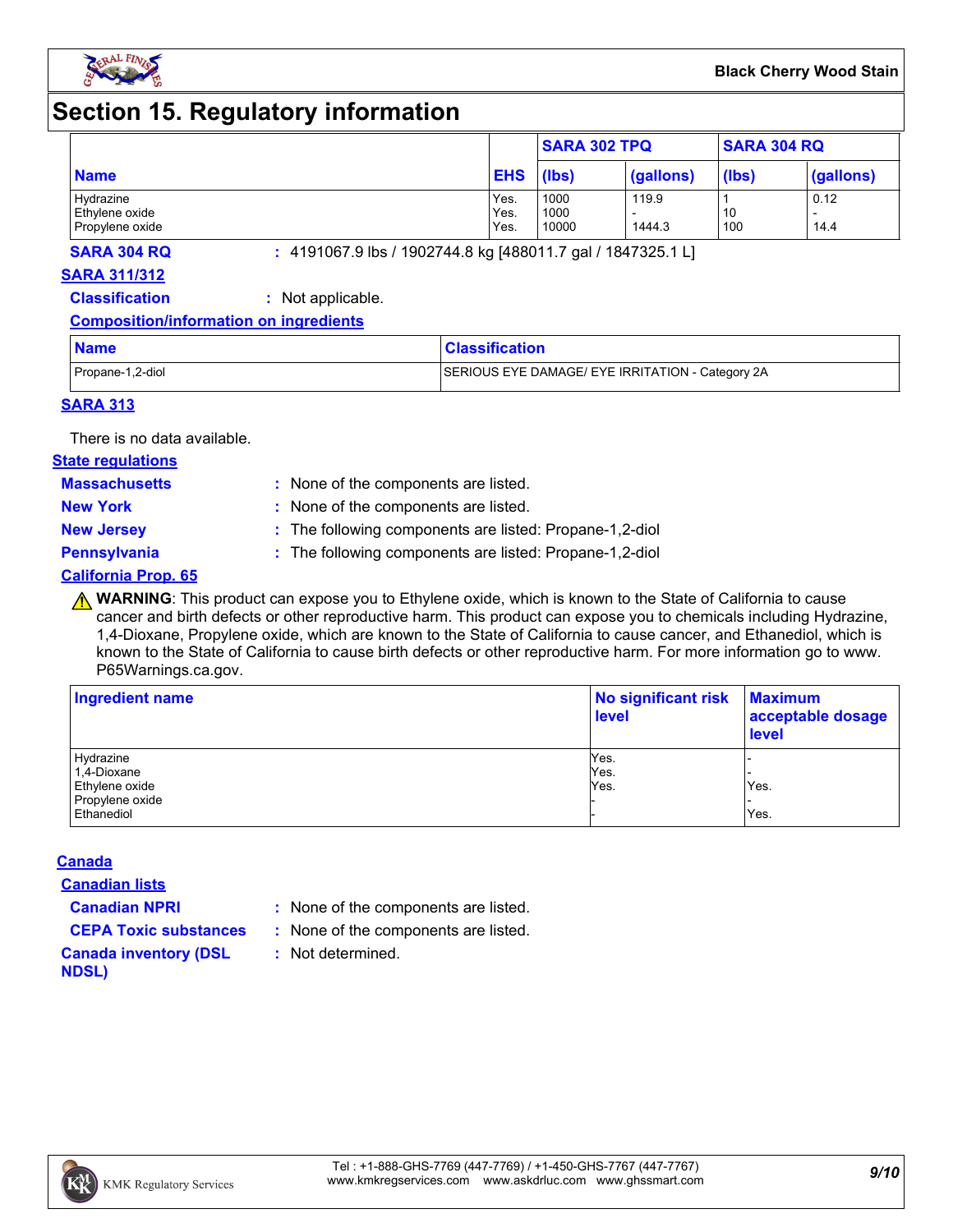

### **Section 15. Regulatory information**

|                 |            | <b>SARA 302 TPQ</b> |           | <b>SARA 304 RQ</b> |           |
|-----------------|------------|---------------------|-----------|--------------------|-----------|
| <b>Name</b>     | <b>EHS</b> | (lbs)               | (gallons) | (lbs)              | (gallons) |
| Hydrazine       | Yes.       | 1000                | 119.9     |                    | 0.12      |
| Ethylene oxide  | Yes.       | 1000                |           | 10                 |           |
| Propylene oxide | Yes.       | 10000               | 1444.3    | 100                | 14.4      |

**SARA 304 RQ :** 4191067.9 lbs / 1902744.8 kg [488011.7 gal / 1847325.1 L]

#### **SARA 311/312**

**Classification :** Not applicable.

#### **Composition/information on ingredients**

| <b>Name</b>      | <b>Classification</b>                            |
|------------------|--------------------------------------------------|
| Propane-1,2-diol | SERIOUS EYE DAMAGE/ EYE IRRITATION - Category 2A |

#### **SARA 313**

There is no data available.

#### **State regulations**

**Massachusetts :**

- : None of the components are listed. **New York :** None of the components are listed.
- 
- **New Jersey :** The following components are listed: Propane-1,2-diol

**Pennsylvania :** The following components are listed: Propane-1,2-diol

#### **California Prop. 65**

**A WARNING**: This product can expose you to Ethylene oxide, which is known to the State of California to cause cancer and birth defects or other reproductive harm. This product can expose you to chemicals including Hydrazine, 1,4-Dioxane, Propylene oxide, which are known to the State of California to cause cancer, and Ethanediol, which is known to the State of California to cause birth defects or other reproductive harm. For more information go to www. P65Warnings.ca.gov.

| Ingredient name | No significant risk<br><b>level</b> | <b>Maximum</b><br>acceptable dosage<br><b>level</b> |  |
|-----------------|-------------------------------------|-----------------------------------------------------|--|
| Hydrazine       | Yes.                                |                                                     |  |
| 1,4-Dioxane     | Yes.                                |                                                     |  |
| Ethylene oxide  | Yes.                                | Yes.                                                |  |
| Propylene oxide |                                     |                                                     |  |
| Ethanediol      |                                     | Yes.                                                |  |

#### **Canada**

**Canadian lists**

- **Canadian NPRI :** None of the components are listed.
- **CEPA Toxic substances :** None of the components are listed.
	- **:** Not determined.

#### **Canada inventory (DSL NDSL)**